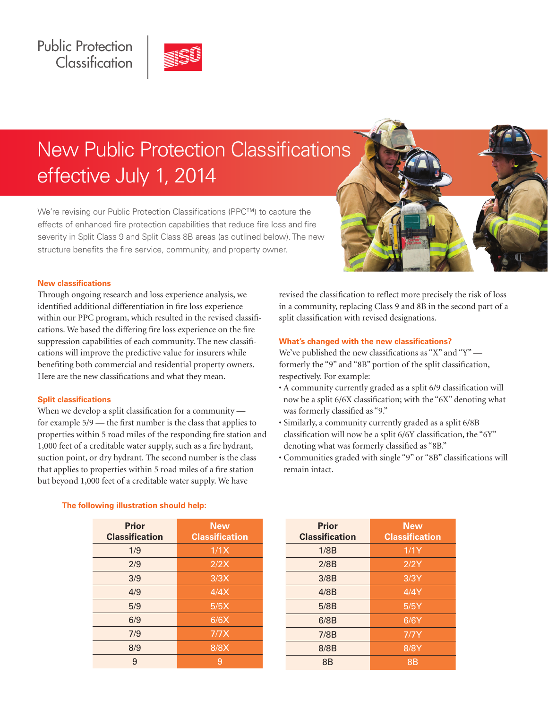

# New Public Protection Classifications effective July 1, 2014

We're revising our Public Protection Classifications (PPC™) to capture the effects of enhanced fire protection capabilities that reduce fire loss and fire severity in Split Class 9 and Split Class 8B areas (as outlined below). The new structure benefits the fire service, community, and property owner.



# **New classifications**

Through ongoing research and loss experience analysis, we identified additional differentiation in fire loss experience within our PPC program, which resulted in the revised classifications. We based the differing fire loss experience on the fire suppression capabilities of each community. The new classifications will improve the predictive value for insurers while benefiting both commercial and residential property owners. Here are the new classifications and what they mean.

#### **Split classifications**

When we develop a split classification for a community for example 5/9 — the first number is the class that applies to properties within 5 road miles of the responding fire station and 1,000 feet of a creditable water supply, such as a fire hydrant, suction point, or dry hydrant. The second number is the class that applies to properties within 5 road miles of a fire station but beyond 1,000 feet of a creditable water supply. We have

revised the classification to reflect more precisely the risk of loss in a community, replacing Class 9 and 8B in the second part of a split classification with revised designations.

#### **What's changed with the new classifications?**

We've published the new classifications as "X" and "Y" formerly the "9" and "8B" portion of the split classification, respectively. For example:

- A community currently graded as a split 6/9 classification will now be a split 6/6X classification; with the "6X" denoting what was formerly classified as "9."
- Similarly, a community currently graded as a split 6/8B classification will now be a split 6/6Y classification, the "6Y" denoting what was formerly classified as "8B."
- Communities graded with single "9" or "8B" classifications will remain intact.

|  |  | The following illustration should help: |  |
|--|--|-----------------------------------------|--|
|  |  |                                         |  |

| <b>Prior</b><br><b>Classification</b> | <b>New</b><br><b>Classification</b> |
|---------------------------------------|-------------------------------------|
| 1/9                                   | 1/1X                                |
| 2/9                                   | 2/2X                                |
| 3/9                                   | 3/3X                                |
| 4/9                                   | 4/4X                                |
| 5/9                                   | 5/5X                                |
| 6/9                                   | 6/6X                                |
| 7/9                                   | 7/7X                                |
| 8/9                                   | 8/8X                                |
| 9                                     | 9                                   |

| <b>Prior</b><br><b>Classification</b> | <b>New</b><br><b>Classification</b> |
|---------------------------------------|-------------------------------------|
| 1/8B                                  | 1/1Y                                |
| 2/8B                                  | 2/2Y                                |
| 3/8B                                  | 3/3Y                                |
| 4/8B                                  | 4/4Y                                |
| 5/8B                                  | 5/5Y                                |
| 6/8B                                  | 6/6Y                                |
| 7/8B                                  | 7/7Y                                |
| 8/8B                                  | 8/8Y                                |
| 8B                                    | <b>8B</b>                           |